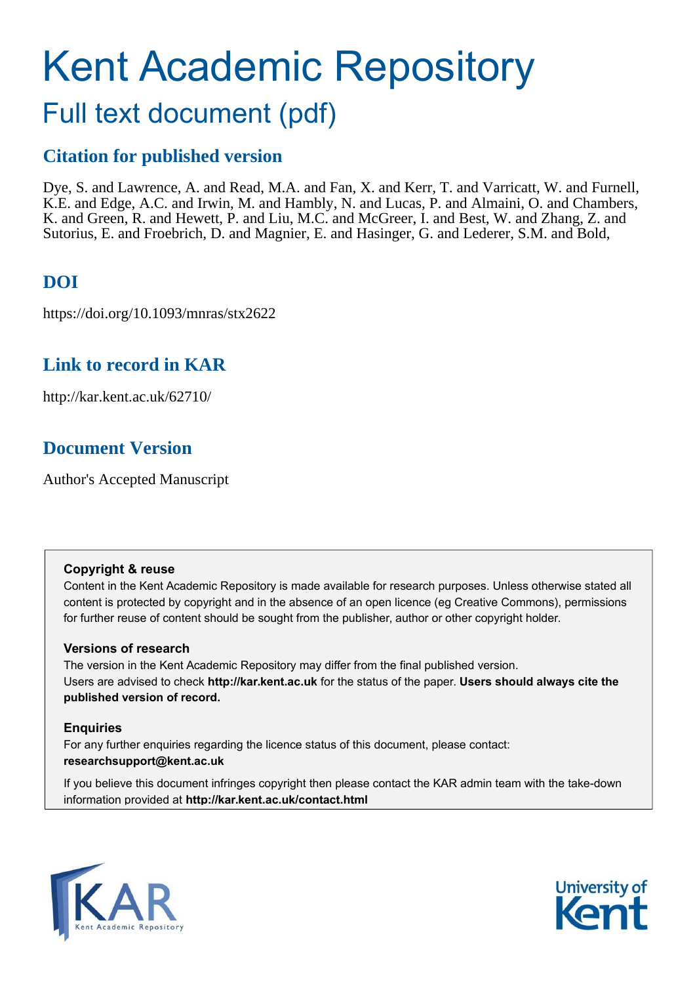# Kent Academic Repository

## Full text document (pdf)

## **Citation for published version**

Dye, S. and Lawrence, A. and Read, M.A. and Fan, X. and Kerr, T. and Varricatt, W. and Furnell, K.E. and Edge, A.C. and Irwin, M. and Hambly, N. and Lucas, P. and Almaini, O. and Chambers, K. and Green, R. and Hewett, P. and Liu, M.C. and McGreer, I. and Best, W. and Zhang, Z. and Sutorius, E. and Froebrich, D. and Magnier, E. and Hasinger, G. and Lederer, S.M. and Bold,

## **DOI**

https://doi.org/10.1093/mnras/stx2622

## **Link to record in KAR**

http://kar.kent.ac.uk/62710/

## **Document Version**

Author's Accepted Manuscript

#### **Copyright & reuse**

Content in the Kent Academic Repository is made available for research purposes. Unless otherwise stated all content is protected by copyright and in the absence of an open licence (eg Creative Commons), permissions for further reuse of content should be sought from the publisher, author or other copyright holder.

### **Versions of research**

The version in the Kent Academic Repository may differ from the final published version. Users are advised to check **http://kar.kent.ac.uk** for the status of the paper. **Users should always cite the published version of record.**

### **Enquiries**

For any further enquiries regarding the licence status of this document, please contact: **researchsupport@kent.ac.uk**

If you believe this document infringes copyright then please contact the KAR admin team with the take-down information provided at **http://kar.kent.ac.uk/contact.html**



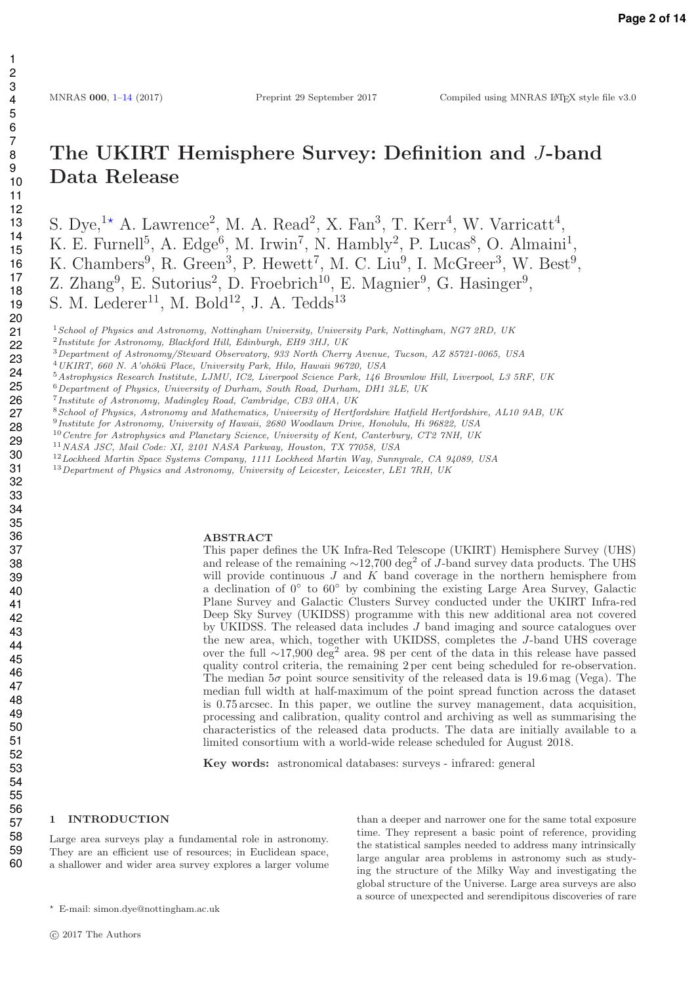## The UKIRT Hemisphere Survey: Definition and J-band Data Release

S. Dye,<sup>1\*</sup> A. Lawrence<sup>2</sup>, M. A. Read<sup>2</sup>, X. Fan<sup>3</sup>, T. Kerr<sup>4</sup>, W. Varricatt<sup>4</sup>, K. E. Furnell<sup>5</sup>, A. Edge<sup>6</sup>, M. Irwin<sup>7</sup>, N. Hambly<sup>2</sup>, P. Lucas<sup>8</sup>, O. Almaini<sup>1</sup>, K. Chambers<sup>9</sup>, R. Green<sup>3</sup>, P. Hewett<sup>7</sup>, M. C. Liu<sup>9</sup>, I. McGreer<sup>3</sup>, W. Best<sup>9</sup>, Z. Zhang<sup>9</sup>, E. Sutorius<sup>2</sup>, D. Froebrich<sup>10</sup>, E. Magnier<sup>9</sup>, G. Hasinger<sup>9</sup>, S. M. Lederer<sup>11</sup>, M. Bold<sup>12</sup>, J. A. Tedds<sup>13</sup>

*School of Physics and Astronomy, Nottingham University, University Park, Nottingham, NG7 2RD, UK*

*Department of Astronomy/Steward Observatory, 933 North Cherry Avenue, Tucson, AZ 85721-0065, USA*

*UKIRT, 660 N. A'oh¯ok¯u Place, University Park, Hilo, Hawaii 96720, USA*

- *Astrophysics Research Institute, LJMU, IC2, Liverpool Science Park, 146 Brownlow Hill, Liverpool, L3 5RF, UK*
- *Department of Physics, University of Durham, South Road, Durham, DH1 3LE, UK*
- *Institute of Astronomy, Madingley Road, Cambridge, CB3 0HA, UK*
- *School of Physics, Astronomy and Mathematics, University of Hertfordshire Hat*fi*eld Hertfordshire, AL10 9AB, UK*
- *Institute for Astronomy, University of Hawaii, 2680 Woodlawn Drive, Honolulu, Hi 96822, USA*
- *Centre for Astrophysics and Planetary Science, University of Kent, Canterbury, CT2 7NH, UK*
- *NASA JSC, Mail Code: XI, 2101 NASA Parkway, Houston, TX 77058, USA*
- *Lockheed Martin Space Systems Company, 1111 Lockheed Martin Way, Sunnyvale, CA 94089, USA*

*Department of Physics and Astronomy, University of Leicester, Leicester, LE1 7RH, UK*

#### ABSTRACT

This paper defines the UK Infra-Red Telescope (UKIRT) Hemisphere Survey (UHS) and release of the remaining  $\sim$ 12,700 deg<sup>2</sup> of J-band survey data products. The UHS will provide continuous  $J$  and  $K$  band coverage in the northern hemisphere from a declination of  $0°$  to  $60°$  by combining the existing Large Area Survey, Galactic Plane Survey and Galactic Clusters Survey conducted under the UKIRT Infra-red Deep Sky Survey (UKIDSS) programme with this new additional area not covered by UKIDSS. The released data includes J band imaging and source catalogues over the new area, which, together with UKIDSS, completes the J-band UHS coverage over the full ∼17,900 deg<sup>2</sup> area. 98 per cent of the data in this release have passed quality control criteria, the remaining 2 per cent being scheduled for re-observation. The median  $5\sigma$  point source sensitivity of the released data is 19.6 mag (Vega). The median full width at half-maximum of the point spread function across the dataset is 0.75 arcsec. In this paper, we outline the survey management, data acquisition, processing and calibration, quality control and archiving as well as summarising the characteristics of the released data products. The data are initially available to a limited consortium with a world-wide release scheduled for August 2018.

> than a deeper and narrower one for the same total exposure time. They represent a basic point of reference, providing the statistical samples needed to address many intrinsically large angular area problems in astronomy such as studying the structure of the Milky Way and investigating the global structure of the Universe. Large area surveys are also a source of unexpected and serendipitous discoveries of rare

Key words: astronomical databases: surveys - infrared: general

#### 1 INTRODUCTION

Large area surveys play a fundamental role in astronomy. They are an efficient use of resources; in Euclidean space, a shallower and wider area survey explores a larger volume

*Institute for Astronomy, Blackford Hill, Edinburgh, EH9 3HJ, UK*

<sup>⋆</sup> E-mail: simon.dye@nottingham.ac.uk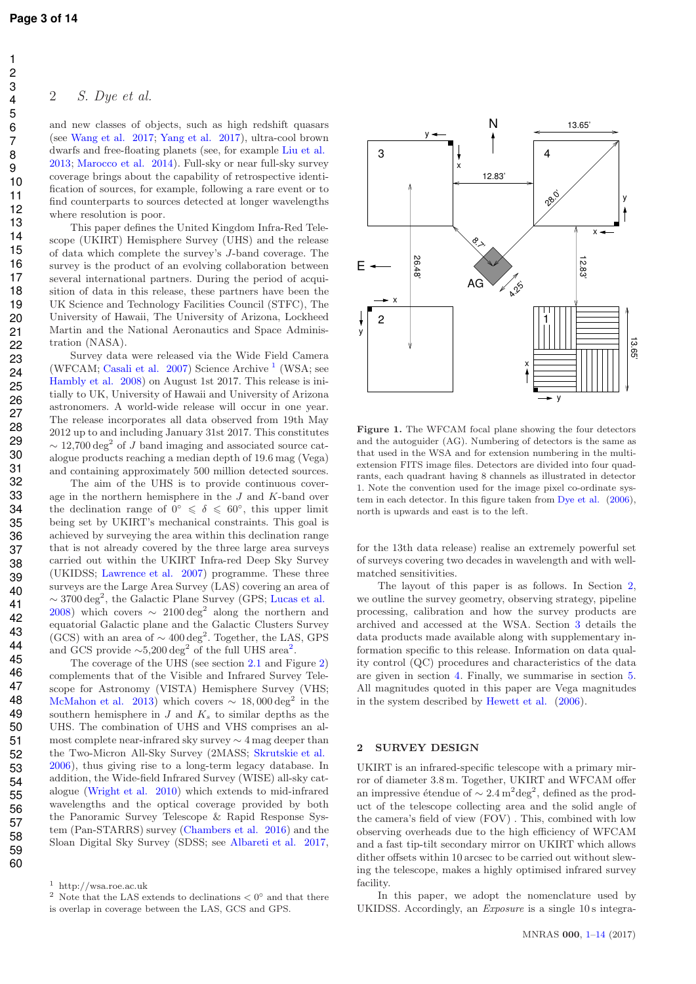#### 2 S. Dye et al.

and new classes of objects, such as high redshift quasars (see Wang et al. 2017; Yang et al. 2017), ultra-cool brown dwarfs and free-floating planets (see, for example Liu et al. 2013; Marocco et al. 2014). Full-sky or near full-sky survey coverage brings about the capability of retrospective identification of sources, for example, following a rare event or to find counterparts to sources detected at longer wavelengths where resolution is poor.

This paper defines the United Kingdom Infra-Red Telescope (UKIRT) Hemisphere Survey (UHS) and the release of data which complete the survey's J-band coverage. The survey is the product of an evolving collaboration between several international partners. During the period of acquisition of data in this release, these partners have been the UK Science and Technology Facilities Council (STFC), The University of Hawaii, The University of Arizona, Lockheed Martin and the National Aeronautics and Space Administration (NASA).

Survey data were released via the Wide Field Camera (WFCAM; Casali et al. 2007) Science Archive<sup>1</sup> (WSA; see Hambly et al. 2008) on August 1st 2017. This release is initially to UK, University of Hawaii and University of Arizona astronomers. A world-wide release will occur in one year. The release incorporates all data observed from 19th May 2012 up to and including January 31st 2017. This constitutes  $\sim$  12,700 deg<sup>2</sup> of J band imaging and associated source catalogue products reaching a median depth of 19.6 mag (Vega) and containing approximately 500 million detected sources.

The aim of the UHS is to provide continuous coverage in the northern hemisphere in the J and K-band over the declination range of  $0^\circ \le \delta \le 60^\circ$ , this upper limit being set by UKIRT's mechanical constraints. This goal is achieved by surveying the area within this declination range that is not already covered by the three large area surveys carried out within the UKIRT Infra-red Deep Sky Survey (UKIDSS; Lawrence et al. 2007) programme. These three surveys are the Large Area Survey (LAS) covering an area of  $\sim$  3700 deg<sup>2</sup>, the Galactic Plane Survey (GPS; Lucas et al. 2008) which covers  $\sim 2100 \text{ deg}^2$  along the northern and equatorial Galactic plane and the Galactic Clusters Survey (GCS) with an area of  $\sim 400 \text{ deg}^2$ . Together, the LAS, GPS and GCS provide  $\sim 5,200 \text{ deg}^2$  of the full UHS area<sup>2</sup>.

The coverage of the UHS (see section 2.1 and Figure 2) complements that of the Visible and Infrared Survey Telescope for Astronomy (VISTA) Hemisphere Survey (VHS; McMahon et al. 2013) which covers  $\sim 18,000 \text{ deg}^2$  in the southern hemisphere in  $J$  and  $K_s$  to similar depths as the UHS. The combination of UHS and VHS comprises an almost complete near-infrared sky survey ∼ 4 mag deeper than the Two-Micron All-Sky Survey (2MASS; Skrutskie et al. 2006), thus giving rise to a long-term legacy database. In addition, the Wide-field Infrared Survey (WISE) all-sky catalogue (Wright et al. 2010) which extends to mid-infrared wavelengths and the optical coverage provided by both the Panoramic Survey Telescope & Rapid Response System (Pan-STARRS) survey (Chambers et al. 2016) and the Sloan Digital Sky Survey (SDSS; see Albareti et al. 2017,



Figure 1. The WFCAM focal plane showing the four detectors and the autoguider (AG). Numbering of detectors is the same as that used in the WSA and for extension numbering in the multiextension FITS image files. Detectors are divided into four quadrants, each quadrant having 8 channels as illustrated in detector 1. Note the convention used for the image pixel co-ordinate system in each detector. In this figure taken from Dye et al. (2006), north is upwards and east is to the left.

for the 13th data release) realise an extremely powerful set of surveys covering two decades in wavelength and with wellmatched sensitivities.

The layout of this paper is as follows. In Section 2, we outline the survey geometry, observing strategy, pipeline processing, calibration and how the survey products are archived and accessed at the WSA. Section 3 details the data products made available along with supplementary information specific to this release. Information on data quality control (QC) procedures and characteristics of the data are given in section 4. Finally, we summarise in section 5. All magnitudes quoted in this paper are Vega magnitudes in the system described by Hewett et al. (2006).

#### 2 SURVEY DESIGN

UKIRT is an infrared-specific telescope with a primary mirror of diameter 3.8 m. Together, UKIRT and WFCAM offer an impressive étendue of  $\sim 2.4 \,\mathrm{m}^2 \mathrm{deg}^2$ , defined as the product of the telescope collecting area and the solid angle of the camera's field of view (FOV) . This, combined with low observing overheads due to the high efficiency of WFCAM and a fast tip-tilt secondary mirror on UKIRT which allows dither offsets within 10 arcsec to be carried out without slewing the telescope, makes a highly optimised infrared survey facility.

In this paper, we adopt the nomenclature used by UKIDSS. Accordingly, an *Exposure* is a single 10 s integra-

<sup>1</sup> http://wsa.roe.ac.uk

<sup>&</sup>lt;sup>2</sup> Note that the LAS extends to declinations  $\lt 0^\circ$  and that there is overlap in coverage between the LAS, GCS and GPS.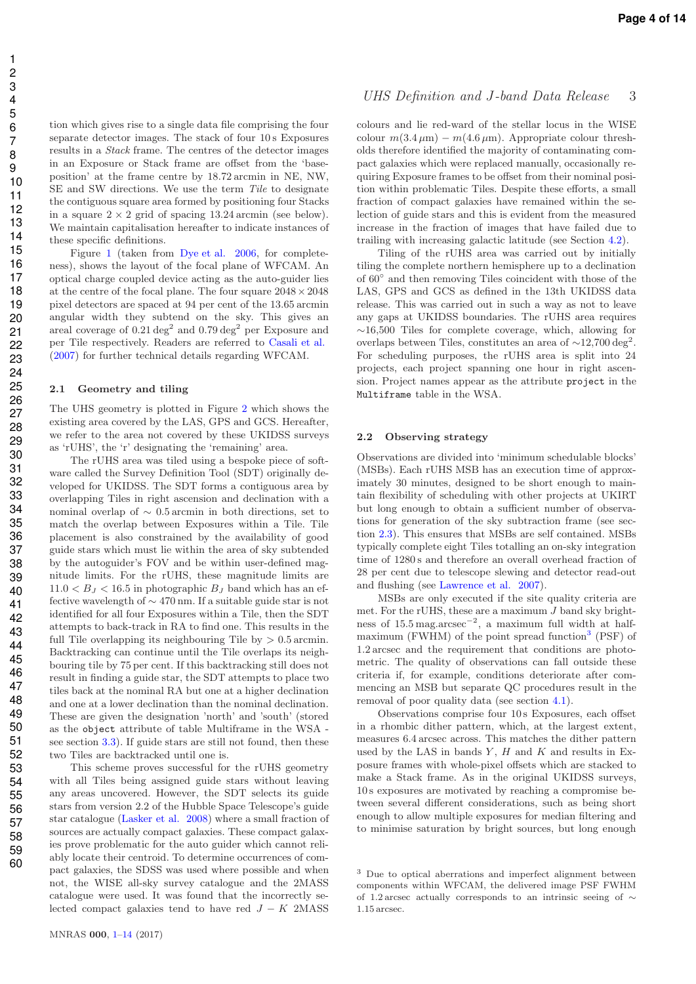tion which gives rise to a single data file comprising the four separate detector images. The stack of four 10 s Exposures results in a Stack frame. The centres of the detector images in an Exposure or Stack frame are offset from the 'baseposition' at the frame centre by 18.72 arcmin in NE, NW, SE and SW directions. We use the term Tile to designate the contiguous square area formed by positioning four Stacks in a square  $2 \times 2$  grid of spacing 13.24 arcmin (see below). We maintain capitalisation hereafter to indicate instances of these specific definitions.

Figure 1 (taken from Dye et al. 2006, for completeness), shows the layout of the focal plane of WFCAM. An optical charge coupled device acting as the auto-guider lies at the centre of the focal plane. The four square  $2048 \times 2048$ pixel detectors are spaced at 94 per cent of the 13.65 arcmin angular width they subtend on the sky. This gives an areal coverage of 0.21 deg<sup>2</sup> and 0.79 deg<sup>2</sup> per Exposure and per Tile respectively. Readers are referred to Casali et al. (2007) for further technical details regarding WFCAM.

#### 2.1 Geometry and tiling

The UHS geometry is plotted in Figure 2 which shows the existing area covered by the LAS, GPS and GCS. Hereafter, we refer to the area not covered by these UKIDSS surveys as 'rUHS', the 'r' designating the 'remaining' area.

The rUHS area was tiled using a bespoke piece of software called the Survey Definition Tool (SDT) originally developed for UKIDSS. The SDT forms a contiguous area by overlapping Tiles in right ascension and declination with a nominal overlap of  $\sim$  0.5 arcmin in both directions, set to match the overlap between Exposures within a Tile. Tile placement is also constrained by the availability of good guide stars which must lie within the area of sky subtended by the autoguider's FOV and be within user-defined magnitude limits. For the rUHS, these magnitude limits are  $11.0 < B_J < 16.5$  in photographic  $B_J$  band which has an effective wavelength of ∼ 470 nm. If a suitable guide star is not identified for all four Exposures within a Tile, then the SDT attempts to back-track in RA to find one. This results in the full Tile overlapping its neighbouring Tile by  $> 0.5$  arcmin. Backtracking can continue until the Tile overlaps its neighbouring tile by 75 per cent. If this backtracking still does not result in finding a guide star, the SDT attempts to place two tiles back at the nominal RA but one at a higher declination and one at a lower declination than the nominal declination. These are given the designation 'north' and 'south' (stored as the object attribute of table Multiframe in the WSA see section 3.3). If guide stars are still not found, then these two Tiles are backtracked until one is.

This scheme proves successful for the rUHS geometry with all Tiles being assigned guide stars without leaving any areas uncovered. However, the SDT selects its guide stars from version 2.2 of the Hubble Space Telescope's guide star catalogue (Lasker et al. 2008) where a small fraction of sources are actually compact galaxies. These compact galaxies prove problematic for the auto guider which cannot reliably locate their centroid. To determine occurrences of compact galaxies, the SDSS was used where possible and when not, the WISE all-sky survey catalogue and the 2MASS catalogue were used. It was found that the incorrectly selected compact galaxies tend to have red  $J - K$  2MASS

Page 4 of 14

#### UHS Definition and J-band Data Release 3

colours and lie red-ward of the stellar locus in the WISE colour  $m(3.4 \mu m) - m(4.6 \mu m)$ . Appropriate colour thresholds therefore identified the majority of contaminating compact galaxies which were replaced manually, occasionally requiring Exposure frames to be offset from their nominal position within problematic Tiles. Despite these efforts, a small fraction of compact galaxies have remained within the selection of guide stars and this is evident from the measured increase in the fraction of images that have failed due to trailing with increasing galactic latitude (see Section 4.2).

Tiling of the rUHS area was carried out by initially tiling the complete northern hemisphere up to a declination of 60◦ and then removing Tiles coincident with those of the LAS, GPS and GCS as defined in the 13th UKIDSS data release. This was carried out in such a way as not to leave any gaps at UKIDSS boundaries. The rUHS area requires ∼16,500 Tiles for complete coverage, which, allowing for overlaps between Tiles, constitutes an area of  $\sim$ 12,700 deg<sup>2</sup>. For scheduling purposes, the rUHS area is split into 24 projects, each project spanning one hour in right ascension. Project names appear as the attribute project in the Multiframe table in the WSA.

#### 2.2 Observing strategy

Observations are divided into 'minimum schedulable blocks' (MSBs). Each rUHS MSB has an execution time of approximately 30 minutes, designed to be short enough to maintain flexibility of scheduling with other projects at UKIRT but long enough to obtain a sufficient number of observations for generation of the sky subtraction frame (see section 2.3). This ensures that MSBs are self contained. MSBs typically complete eight Tiles totalling an on-sky integration time of 1280 s and therefore an overall overhead fraction of 28 per cent due to telescope slewing and detector read-out and flushing (see Lawrence et al. 2007).

MSBs are only executed if the site quality criteria are met. For the rUHS, these are a maximum  $J$  band sky brightness of 15.5 mag.arcsec<sup>−</sup><sup>2</sup> , a maximum full width at halfmaximum (FWHM) of the point spread function<sup>3</sup> (PSF) of 1.2 arcsec and the requirement that conditions are photometric. The quality of observations can fall outside these criteria if, for example, conditions deteriorate after commencing an MSB but separate QC procedures result in the removal of poor quality data (see section 4.1).

Observations comprise four 10 s Exposures, each offset in a rhombic dither pattern, which, at the largest extent, measures 6.4 arcsec across. This matches the dither pattern used by the LAS in bands  $Y$ ,  $H$  and  $K$  and results in Exposure frames with whole-pixel offsets which are stacked to make a Stack frame. As in the original UKIDSS surveys, 10 s exposures are motivated by reaching a compromise between several different considerations, such as being short enough to allow multiple exposures for median filtering and to minimise saturation by bright sources, but long enough

<sup>3</sup> Due to optical aberrations and imperfect alignment between components within WFCAM, the delivered image PSF FWHM of 1.2 arcsec actually corresponds to an intrinsic seeing of ∼ 1.15 arcsec.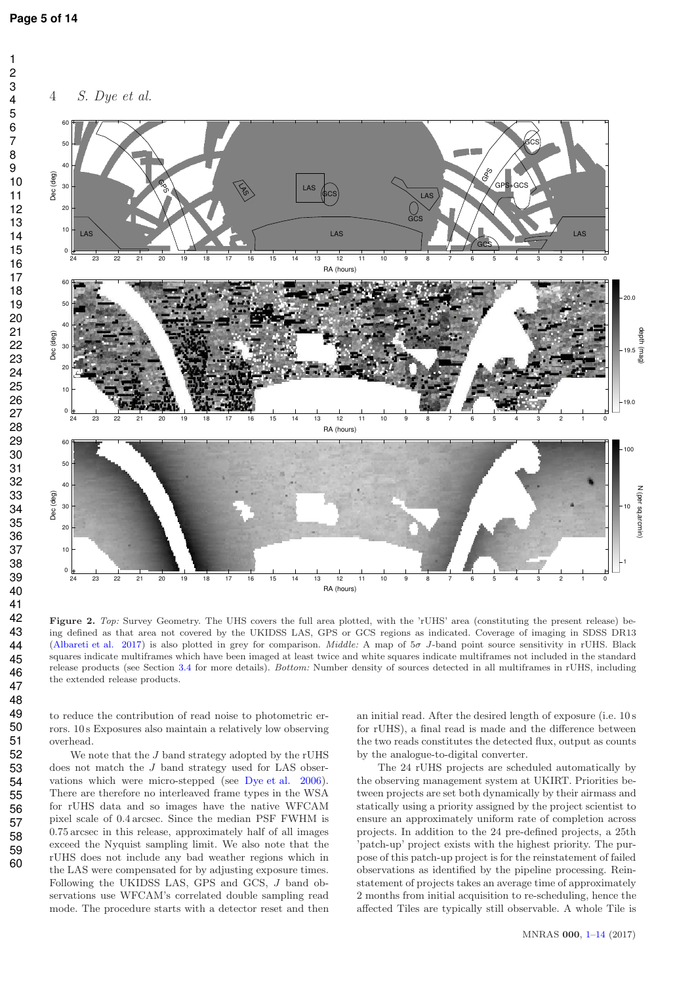4 S. Dye et al.



Figure 2. *Top:* Survey Geometry. The UHS covers the full area plotted, with the 'rUHS' area (constituting the present release) being defined as that area not covered by the UKIDSS LAS, GPS or GCS regions as indicated. Coverage of imaging in SDSS DR13 (Albareti et al. 2017) is also plotted in grey for comparison. *Middle:* A map of 5σ J-band point source sensitivity in rUHS. Black squares indicate multiframes which have been imaged at least twice and white squares indicate multiframes not included in the standard release products (see Section 3.4 for more details). *Bottom:* Number density of sources detected in all multiframes in rUHS, including the extended release products.

to reduce the contribution of read noise to photometric errors. 10 s Exposures also maintain a relatively low observing overhead.

We note that the  $J$  band strategy adopted by the rUHS does not match the J band strategy used for LAS observations which were micro-stepped (see Dye et al. 2006). There are therefore no interleaved frame types in the WSA for rUHS data and so images have the native WFCAM pixel scale of 0.4 arcsec. Since the median PSF FWHM is 0.75 arcsec in this release, approximately half of all images exceed the Nyquist sampling limit. We also note that the rUHS does not include any bad weather regions which in the LAS were compensated for by adjusting exposure times. Following the UKIDSS LAS, GPS and GCS, J band observations use WFCAM's correlated double sampling read mode. The procedure starts with a detector reset and then an initial read. After the desired length of exposure (i.e. 10 s for rUHS), a final read is made and the difference between the two reads constitutes the detected flux, output as counts by the analogue-to-digital converter.

The 24 rUHS projects are scheduled automatically by the observing management system at UKIRT. Priorities between projects are set both dynamically by their airmass and statically using a priority assigned by the project scientist to ensure an approximately uniform rate of completion across projects. In addition to the 24 pre-defined projects, a 25th 'patch-up' project exists with the highest priority. The purpose of this patch-up project is for the reinstatement of failed observations as identified by the pipeline processing. Reinstatement of projects takes an average time of approximately 2 months from initial acquisition to re-scheduling, hence the affected Tiles are typically still observable. A whole Tile is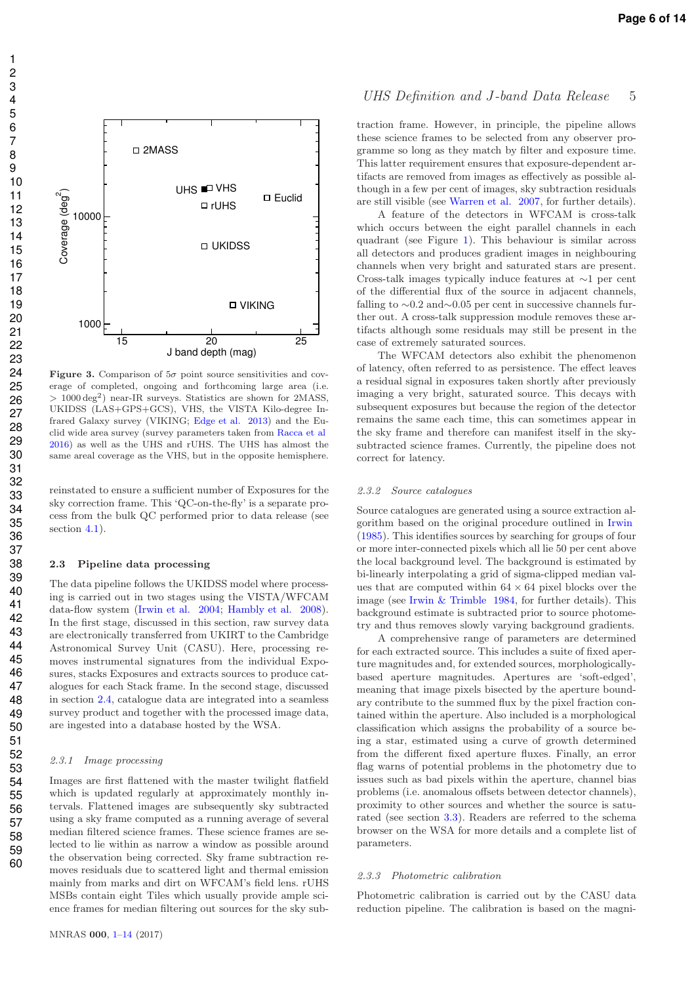

**Figure 3.** Comparison of  $5\sigma$  point source sensitivities and coverage of completed, ongoing and forthcoming large area (i.e. > 1000 deg<sup>2</sup> ) near-IR surveys. Statistics are shown for 2MASS, UKIDSS (LAS+GPS+GCS), VHS, the VISTA Kilo-degree Infrared Galaxy survey (VIKING; Edge et al. 2013) and the Euclid wide area survey (survey parameters taken from Racca et al 2016) as well as the UHS and rUHS. The UHS has almost the same areal coverage as the VHS, but in the opposite hemisphere.

reinstated to ensure a sufficient number of Exposures for the sky correction frame. This 'QC-on-the-fly' is a separate process from the bulk QC performed prior to data release (see section 4.1).

#### 2.3 Pipeline data processing

The data pipeline follows the UKIDSS model where processing is carried out in two stages using the VISTA/WFCAM data-flow system (Irwin et al. 2004; Hambly et al. 2008). In the first stage, discussed in this section, raw survey data are electronically transferred from UKIRT to the Cambridge Astronomical Survey Unit (CASU). Here, processing removes instrumental signatures from the individual Exposures, stacks Exposures and extracts sources to produce catalogues for each Stack frame. In the second stage, discussed in section 2.4, catalogue data are integrated into a seamless survey product and together with the processed image data, are ingested into a database hosted by the WSA.

#### 2.3.1 Image processing

Images are first flattened with the master twilight flatfield which is updated regularly at approximately monthly intervals. Flattened images are subsequently sky subtracted using a sky frame computed as a running average of several median filtered science frames. These science frames are selected to lie within as narrow a window as possible around the observation being corrected. Sky frame subtraction removes residuals due to scattered light and thermal emission mainly from marks and dirt on WFCAM's field lens. rUHS MSBs contain eight Tiles which usually provide ample science frames for median filtering out sources for the sky sub-

#### UHS Definition and J-band Data Release 5

traction frame. However, in principle, the pipeline allows these science frames to be selected from any observer programme so long as they match by filter and exposure time. This latter requirement ensures that exposure-dependent artifacts are removed from images as effectively as possible although in a few per cent of images, sky subtraction residuals are still visible (see Warren et al. 2007, for further details).

A feature of the detectors in WFCAM is cross-talk which occurs between the eight parallel channels in each quadrant (see Figure 1). This behaviour is similar across all detectors and produces gradient images in neighbouring channels when very bright and saturated stars are present. Cross-talk images typically induce features at ∼1 per cent of the differential flux of the source in adjacent channels, falling to ∼0.2 and∼0.05 per cent in successive channels further out. A cross-talk suppression module removes these artifacts although some residuals may still be present in the case of extremely saturated sources.

The WFCAM detectors also exhibit the phenomenon of latency, often referred to as persistence. The effect leaves a residual signal in exposures taken shortly after previously imaging a very bright, saturated source. This decays with subsequent exposures but because the region of the detector remains the same each time, this can sometimes appear in the sky frame and therefore can manifest itself in the skysubtracted science frames. Currently, the pipeline does not correct for latency.

#### 2.3.2 Source catalogues

Source catalogues are generated using a source extraction algorithm based on the original procedure outlined in Irwin (1985). This identifies sources by searching for groups of four or more inter-connected pixels which all lie 50 per cent above the local background level. The background is estimated by bi-linearly interpolating a grid of sigma-clipped median values that are computed within  $64 \times 64$  pixel blocks over the image (see Irwin & Trimble 1984, for further details). This background estimate is subtracted prior to source photometry and thus removes slowly varying background gradients.

A comprehensive range of parameters are determined for each extracted source. This includes a suite of fixed aperture magnitudes and, for extended sources, morphologicallybased aperture magnitudes. Apertures are 'soft-edged', meaning that image pixels bisected by the aperture boundary contribute to the summed flux by the pixel fraction contained within the aperture. Also included is a morphological classification which assigns the probability of a source being a star, estimated using a curve of growth determined from the different fixed aperture fluxes. Finally, an error flag warns of potential problems in the photometry due to issues such as bad pixels within the aperture, channel bias problems (i.e. anomalous offsets between detector channels), proximity to other sources and whether the source is saturated (see section 3.3). Readers are referred to the schema browser on the WSA for more details and a complete list of parameters.

#### 2.3.3 Photometric calibration

Photometric calibration is carried out by the CASU data reduction pipeline. The calibration is based on the magni-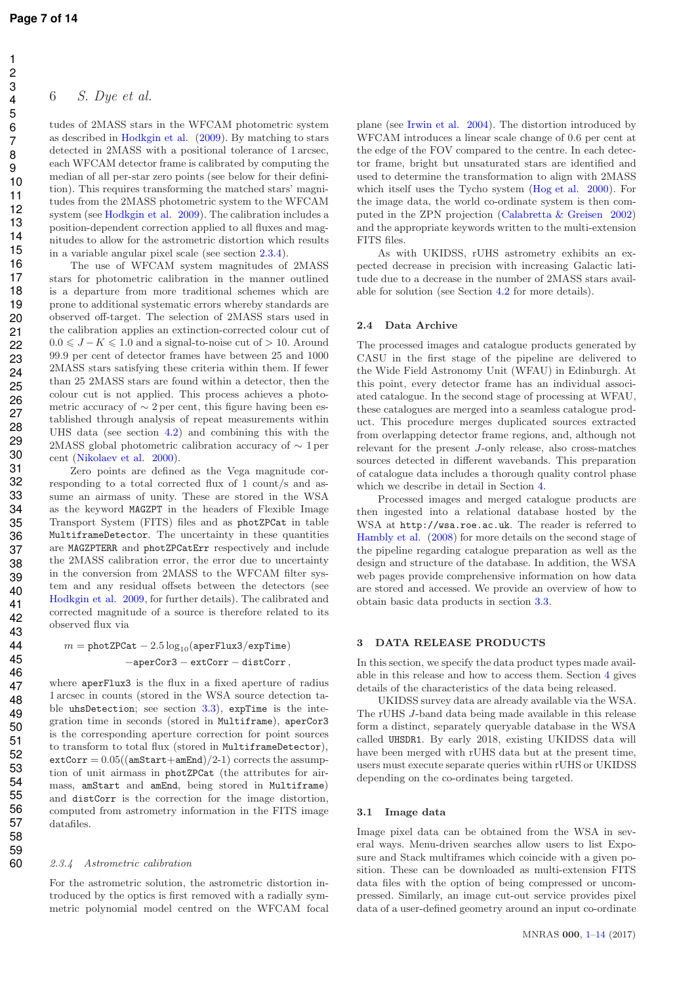#### 6 S. Dye et al.

tudes of 2MASS stars in the WFCAM photometric system as described in Hodkgin et al. (2009). By matching to stars detected in 2MASS with a positional tolerance of 1 arcsec, each WFCAM detector frame is calibrated by computing the median of all per-star zero points (see below for their definition). This requires transforming the matched stars' magnitudes from the 2MASS photometric system to the WFCAM system (see Hodkgin et al. 2009). The calibration includes a position-dependent correction applied to all fluxes and magnitudes to allow for the astrometric distortion which results in a variable angular pixel scale (see section 2.3.4).

The use of WFCAM system magnitudes of 2MASS stars for photometric calibration in the manner outlined is a departure from more traditional schemes which are prone to additional systematic errors whereby standards are observed off-target. The selection of 2MASS stars used in the calibration applies an extinction-corrected colour cut of  $0.0 \leq J - K \leq 1.0$  and a signal-to-noise cut of > 10. Around 99.9 per cent of detector frames have between 25 and 1000 2MASS stars satisfying these criteria within them. If fewer than 25 2MASS stars are found within a detector, then the colour cut is not applied. This process achieves a photometric accuracy of  $\sim 2$  per cent, this figure having been established through analysis of repeat measurements within UHS data (see section 4.2) and combining this with the 2MASS global photometric calibration accuracy of ∼ 1 per cent (Nikolaev et al. 2000).

Zero points are defined as the Vega magnitude corresponding to a total corrected flux of 1 count/s and assume an airmass of unity. These are stored in the WSA as the keyword MAGZPT in the headers of Flexible Image Transport System (FITS) files and as photZPCat in table MultiframeDetector. The uncertainty in these quantities are MAGZPTERR and photZPCatErr respectively and include the 2MASS calibration error, the error due to uncertainty in the conversion from 2MASS to the WFCAM filter system and any residual offsets between the detectors (see Hodkgin et al. 2009, for further details). The calibrated and corrected magnitude of a source is therefore related to its observed flux via

$$
m = \verb!photZPCat - 2.5\log_{10}(\verb!aperFlux3/exprTime)!\\ \verb!--aperCor3 - extCorr - distCorr!,
$$

where aperFlux3 is the flux in a fixed aperture of radius 1 arcsec in counts (stored in the WSA source detection table uhsDetection; see section 3.3), expTime is the integration time in seconds (stored in Multiframe), aperCor3 is the corresponding aperture correction for point sources to transform to total flux (stored in MultiframeDetector),  $extCorr = 0.05((amStart+amEnd)/2-1)$  corrects the assumption of unit airmass in photZPCat (the attributes for airmass, amStart and amEnd, being stored in Multiframe) and distCorr is the correction for the image distortion, computed from astrometry information in the FITS image datafiles.

#### 2.3.4 Astrometric calibration

For the astrometric solution, the astrometric distortion introduced by the optics is first removed with a radially symmetric polynomial model centred on the WFCAM focal plane (see Irwin et al. 2004). The distortion introduced by WFCAM introduces a linear scale change of 0.6 per cent at the edge of the FOV compared to the centre. In each detector frame, bright but unsaturated stars are identified and used to determine the transformation to align with 2MASS which itself uses the Tycho system (Hog et al. 2000). For the image data, the world co-ordinate system is then computed in the ZPN projection (Calabretta & Greisen 2002) and the appropriate keywords written to the multi-extension FITS files.

As with UKIDSS, rUHS astrometry exhibits an expected decrease in precision with increasing Galactic latitude due to a decrease in the number of 2MASS stars available for solution (see Section 4.2 for more details).

#### 2.4 Data Archive

The processed images and catalogue products generated by CASU in the first stage of the pipeline are delivered to the Wide Field Astronomy Unit (WFAU) in Edinburgh. At this point, every detector frame has an individual associated catalogue. In the second stage of processing at WFAU, these catalogues are merged into a seamless catalogue product. This procedure merges duplicated sources extracted from overlapping detector frame regions, and, although not relevant for the present J-only release, also cross-matches sources detected in different wavebands. This preparation of catalogue data includes a thorough quality control phase which we describe in detail in Section 4.

Processed images and merged catalogue products are then ingested into a relational database hosted by the WSA at http://wsa.roe.ac.uk. The reader is referred to Hambly et al. (2008) for more details on the second stage of the pipeline regarding catalogue preparation as well as the design and structure of the database. In addition, the WSA web pages provide comprehensive information on how data are stored and accessed. We provide an overview of how to obtain basic data products in section 3.3.

#### DATA RELEASE PRODUCTS

In this section, we specify the data product types made available in this release and how to access them. Section 4 gives details of the characteristics of the data being released.

UKIDSS survey data are already available via the WSA. The rUHS J-band data being made available in this release form a distinct, separately queryable database in the WSA called UHSDR1. By early 2018, existing UKIDSS data will have been merged with rUHS data but at the present time, users must execute separate queries within rUHS or UKIDSS depending on the co-ordinates being targeted.

#### 3.1 Image data

Image pixel data can be obtained from the WSA in several ways. Menu-driven searches allow users to list Exposure and Stack multiframes which coincide with a given position. These can be downloaded as multi-extension FITS data files with the option of being compressed or uncompressed. Similarly, an image cut-out service provides pixel data of a user-defined geometry around an input co-ordinate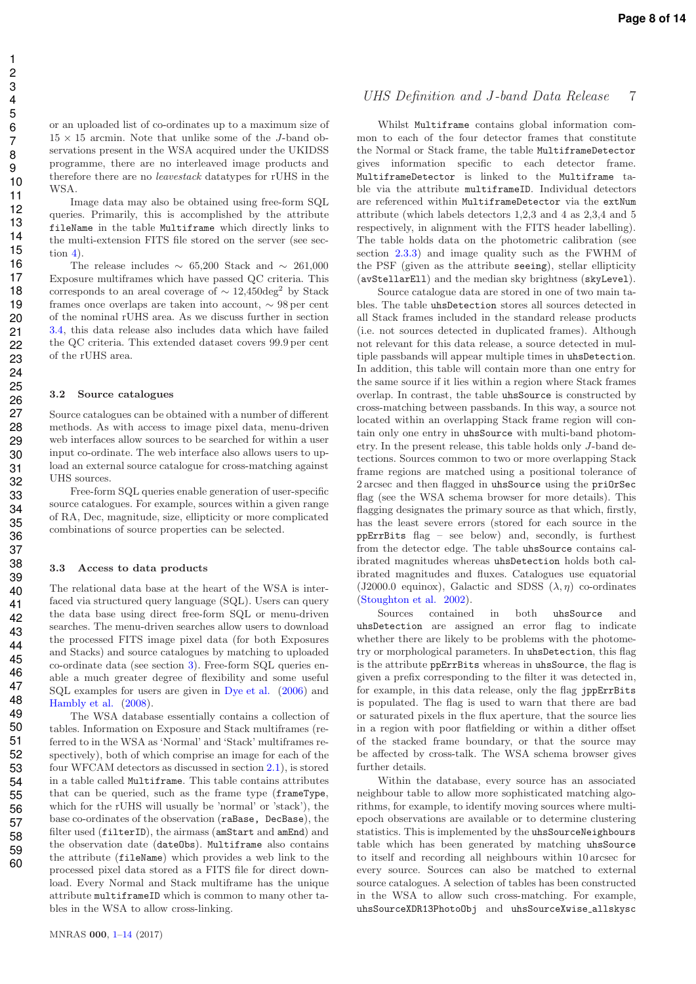or an uploaded list of co-ordinates up to a maximum size of  $15 \times 15$  arcmin. Note that unlike some of the *J*-band observations present in the WSA acquired under the UKIDSS programme, there are no interleaved image products and therefore there are no leavestack datatypes for rUHS in the WSA.

Image data may also be obtained using free-form SQL queries. Primarily, this is accomplished by the attribute fileName in the table Multiframe which directly links to the multi-extension FITS file stored on the server (see section 4).

The release includes  $\sim 65,200$  Stack and  $\sim 261,000$ Exposure multiframes which have passed QC criteria. This corresponds to an areal coverage of  $\sim 12,450 \text{deg}^2$  by Stack frames once overlaps are taken into account, ∼ 98 per cent of the nominal rUHS area. As we discuss further in section 3.4, this data release also includes data which have failed the QC criteria. This extended dataset covers 99.9 per cent of the rUHS area.

#### 3.2 Source catalogues

Source catalogues can be obtained with a number of different methods. As with access to image pixel data, menu-driven web interfaces allow sources to be searched for within a user input co-ordinate. The web interface also allows users to upload an external source catalogue for cross-matching against UHS sources.

Free-form SQL queries enable generation of user-specific source catalogues. For example, sources within a given range of RA, Dec, magnitude, size, ellipticity or more complicated combinations of source properties can be selected.

#### 3.3 Access to data products

The relational data base at the heart of the WSA is interfaced via structured query language (SQL). Users can query the data base using direct free-form SQL or menu-driven searches. The menu-driven searches allow users to download the processed FITS image pixel data (for both Exposures and Stacks) and source catalogues by matching to uploaded co-ordinate data (see section 3). Free-form SQL queries enable a much greater degree of flexibility and some useful SQL examples for users are given in Dye et al. (2006) and Hambly et al. (2008).

The WSA database essentially contains a collection of tables. Information on Exposure and Stack multiframes (referred to in the WSA as 'Normal' and 'Stack' multiframes respectively), both of which comprise an image for each of the four WFCAM detectors as discussed in section 2.1), is stored in a table called Multiframe. This table contains attributes that can be queried, such as the frame type (frameType, which for the rUHS will usually be 'normal' or 'stack'), the base co-ordinates of the observation (raBase, DecBase), the filter used (filterID), the airmass (amStart and amEnd) and the observation date (dateObs). Multiframe also contains the attribute (fileName) which provides a web link to the processed pixel data stored as a FITS file for direct download. Every Normal and Stack multiframe has the unique attribute multiframeID which is common to many other tables in the WSA to allow cross-linking.

#### UHS Definition and J-band Data Release 7

Whilst Multiframe contains global information common to each of the four detector frames that constitute the Normal or Stack frame, the table MultiframeDetector gives information specific to each detector frame. MultiframeDetector is linked to the Multiframe table via the attribute multiframeID. Individual detectors are referenced within MultiframeDetector via the extNum attribute (which labels detectors 1,2,3 and 4 as 2,3,4 and 5 respectively, in alignment with the FITS header labelling). The table holds data on the photometric calibration (see section 2.3.3) and image quality such as the FWHM of the PSF (given as the attribute seeing), stellar ellipticity (avStellarEll) and the median sky brightness (skyLevel).

Source catalogue data are stored in one of two main tables. The table uhsDetection stores all sources detected in all Stack frames included in the standard release products (i.e. not sources detected in duplicated frames). Although not relevant for this data release, a source detected in multiple passbands will appear multiple times in uhsDetection. In addition, this table will contain more than one entry for the same source if it lies within a region where Stack frames overlap. In contrast, the table uhsSource is constructed by cross-matching between passbands. In this way, a source not located within an overlapping Stack frame region will contain only one entry in uhsSource with multi-band photometry. In the present release, this table holds only J-band detections. Sources common to two or more overlapping Stack frame regions are matched using a positional tolerance of 2 arcsec and then flagged in uhsSource using the priOrSec flag (see the WSA schema browser for more details). This flagging designates the primary source as that which, firstly, has the least severe errors (stored for each source in the ppErrBits flag – see below) and, secondly, is furthest from the detector edge. The table uhsSource contains calibrated magnitudes whereas uhsDetection holds both calibrated magnitudes and fluxes. Catalogues use equatorial (J2000.0 equinox), Galactic and SDSS  $(\lambda, \eta)$  co-ordinates (Stoughton et al. 2002).

Sources contained in both uhsSource and uhsDetection are assigned an error flag to indicate whether there are likely to be problems with the photometry or morphological parameters. In uhsDetection, this flag is the attribute ppErrBits whereas in uhsSource, the flag is given a prefix corresponding to the filter it was detected in, for example, in this data release, only the flag jppErrBits is populated. The flag is used to warn that there are bad or saturated pixels in the flux aperture, that the source lies in a region with poor flatfielding or within a dither offset of the stacked frame boundary, or that the source may be affected by cross-talk. The WSA schema browser gives further details.

Within the database, every source has an associated neighbour table to allow more sophisticated matching algorithms, for example, to identify moving sources where multiepoch observations are available or to determine clustering statistics. This is implemented by the uhsSourceNeighbours table which has been generated by matching uhsSource to itself and recording all neighbours within 10 arcsec for every source. Sources can also be matched to external source catalogues. A selection of tables has been constructed in the WSA to allow such cross-matching. For example, uhsSourceXDR13PhotoObj and uhsSourceXwise allskysc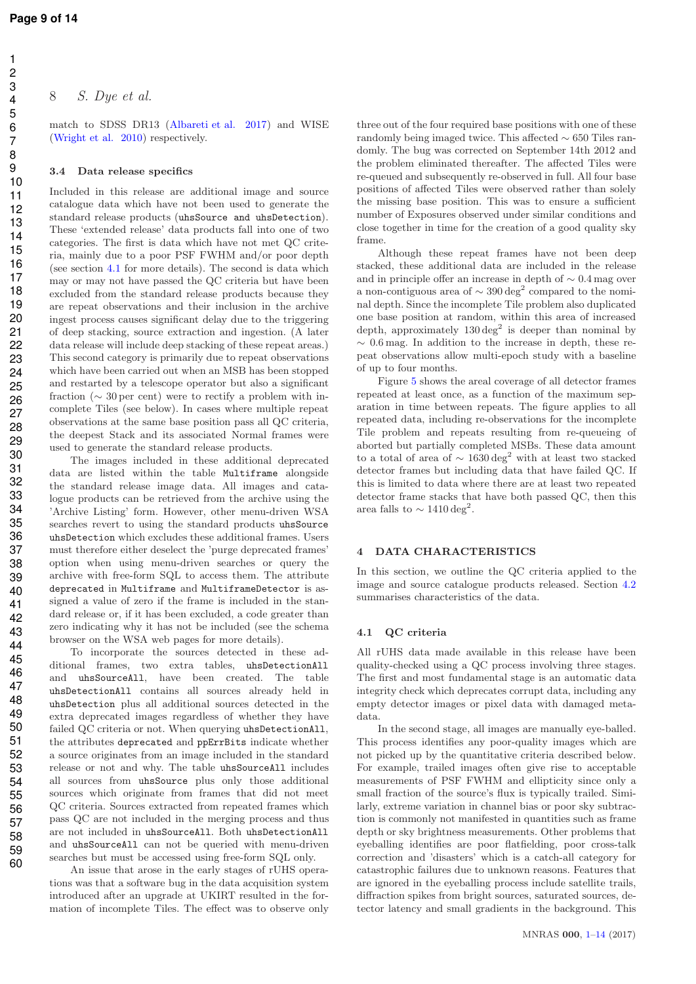8 S. Dye et al.

match to SDSS DR13 (Albareti et al. 2017) and WISE (Wright et al. 2010) respectively.

#### 3.4 Data release specifics

Included in this release are additional image and source catalogue data which have not been used to generate the standard release products (uhsSource and uhsDetection). These 'extended release' data products fall into one of two categories. The first is data which have not met QC criteria, mainly due to a poor PSF FWHM and/or poor depth (see section 4.1 for more details). The second is data which may or may not have passed the QC criteria but have been excluded from the standard release products because they are repeat observations and their inclusion in the archive ingest process causes significant delay due to the triggering of deep stacking, source extraction and ingestion. (A later data release will include deep stacking of these repeat areas.) This second category is primarily due to repeat observations which have been carried out when an MSB has been stopped and restarted by a telescope operator but also a significant fraction ( $\sim$  30 per cent) were to rectify a problem with incomplete Tiles (see below). In cases where multiple repeat observations at the same base position pass all QC criteria, the deepest Stack and its associated Normal frames were used to generate the standard release products.

The images included in these additional deprecated data are listed within the table Multiframe alongside the standard release image data. All images and catalogue products can be retrieved from the archive using the 'Archive Listing' form. However, other menu-driven WSA searches revert to using the standard products uhsSource uhsDetection which excludes these additional frames. Users must therefore either deselect the 'purge deprecated frames' option when using menu-driven searches or query the archive with free-form SQL to access them. The attribute deprecated in Multiframe and MultiframeDetector is assigned a value of zero if the frame is included in the standard release or, if it has been excluded, a code greater than zero indicating why it has not be included (see the schema browser on the WSA web pages for more details).

To incorporate the sources detected in these additional frames, two extra tables, uhsDetectionAll and uhsSourceAll, have been created. The table uhsDetectionAll contains all sources already held in uhsDetection plus all additional sources detected in the extra deprecated images regardless of whether they have failed QC criteria or not. When querying uhsDetectionAll, the attributes deprecated and ppErrBits indicate whether a source originates from an image included in the standard release or not and why. The table uhsSourceAll includes all sources from uhsSource plus only those additional sources which originate from frames that did not meet QC criteria. Sources extracted from repeated frames which pass QC are not included in the merging process and thus are not included in uhsSourceAll. Both uhsDetectionAll and uhsSourceAll can not be queried with menu-driven searches but must be accessed using free-form SQL only.

An issue that arose in the early stages of rUHS operations was that a software bug in the data acquisition system introduced after an upgrade at UKIRT resulted in the formation of incomplete Tiles. The effect was to observe only three out of the four required base positions with one of these randomly being imaged twice. This affected ∼ 650 Tiles randomly. The bug was corrected on September 14th 2012 and the problem eliminated thereafter. The affected Tiles were re-queued and subsequently re-observed in full. All four base positions of affected Tiles were observed rather than solely the missing base position. This was to ensure a sufficient number of Exposures observed under similar conditions and close together in time for the creation of a good quality sky frame.

Although these repeat frames have not been deep stacked, these additional data are included in the release and in principle offer an increase in depth of ∼ 0.4 mag over a non-contiguous area of  $\sim 390\,\hbox{deg}^2$  compared to the nominal depth. Since the incomplete Tile problem also duplicated one base position at random, within this area of increased depth, approximately  $130 \text{ deg}^2$  is deeper than nominal by ∼ 0.6 mag. In addition to the increase in depth, these repeat observations allow multi-epoch study with a baseline of up to four months.

Figure 5 shows the areal coverage of all detector frames repeated at least once, as a function of the maximum separation in time between repeats. The figure applies to all repeated data, including re-observations for the incomplete Tile problem and repeats resulting from re-queueing of aborted but partially completed MSBs. These data amount to a total of area of  $\sim$  1630 deg<sup>2</sup> with at least two stacked detector frames but including data that have failed QC. If this is limited to data where there are at least two repeated detector frame stacks that have both passed QC, then this area falls to  $\sim 1410 \text{ deg}^2$ .

#### 4 DATA CHARACTERISTICS

In this section, we outline the QC criteria applied to the image and source catalogue products released. Section 4.2 summarises characteristics of the data.

#### 4.1 QC criteria

All rUHS data made available in this release have been quality-checked using a QC process involving three stages. The first and most fundamental stage is an automatic data integrity check which deprecates corrupt data, including any empty detector images or pixel data with damaged metadata.

In the second stage, all images are manually eye-balled. This process identifies any poor-quality images which are not picked up by the quantitative criteria described below. For example, trailed images often give rise to acceptable measurements of PSF FWHM and ellipticity since only a small fraction of the source's flux is typically trailed. Similarly, extreme variation in channel bias or poor sky subtraction is commonly not manifested in quantities such as frame depth or sky brightness measurements. Other problems that eyeballing identifies are poor flatfielding, poor cross-talk correction and 'disasters' which is a catch-all category for catastrophic failures due to unknown reasons. Features that are ignored in the eyeballing process include satellite trails, diffraction spikes from bright sources, saturated sources, detector latency and small gradients in the background. This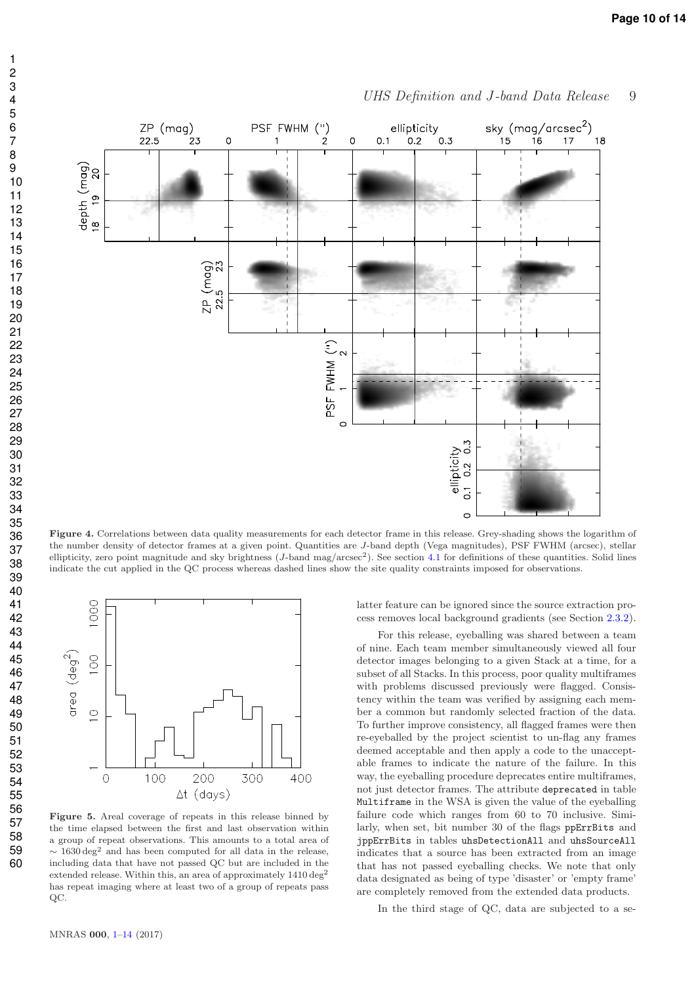

UHS Definition and J-band Data Release 9

Figure 4. Correlations between data quality measurements for each detector frame in this release. Grey-shading shows the logarithm of the number density of detector frames at a given point. Quantities are J-band depth (Vega magnitudes), PSF FWHM (arcsec), stellar ellipticity, zero point magnitude and sky brightness (*J*-band mag/arcsec<sup>2</sup>). See section 4.1 for definitions of these quantities. Solid lines indicate the cut applied in the QC process whereas dashed lines show the site quality constraints imposed for observations.



Figure 5. Areal coverage of repeats in this release binned by the time elapsed between the first and last observation within a group of repeat observations. This amounts to a total area of  $\sim$  1630 deg<sup>2</sup> and has been computed for all data in the release, including data that have not passed QC but are included in the extended release. Within this, an area of approximately  $1410 \text{ deg}^2$ has repeat imaging where at least two of a group of repeats pass QC.

latter feature can be ignored since the source extraction process removes local background gradients (see Section 2.3.2).

For this release, eyeballing was shared between a team of nine. Each team member simultaneously viewed all four detector images belonging to a given Stack at a time, for a subset of all Stacks. In this process, poor quality multiframes with problems discussed previously were flagged. Consistency within the team was verified by assigning each member a common but randomly selected fraction of the data. To further improve consistency, all flagged frames were then re-eyeballed by the project scientist to un-flag any frames deemed acceptable and then apply a code to the unacceptable frames to indicate the nature of the failure. In this way, the eyeballing procedure deprecates entire multiframes. not just detector frames. The attribute deprecated in table Multiframe in the WSA is given the value of the eyeballing failure code which ranges from 60 to 70 inclusive. Similarly, when set, bit number 30 of the flags ppErrBits and jppErrBits in tables uhsDetectionAll and uhsSourceAll indicates that a source has been extracted from an image that has not passed eyeballing checks. We note that only data designated as being of type 'disaster' or 'empty frame' are completely removed from the extended data products.

In the third stage of QC, data are subjected to a se-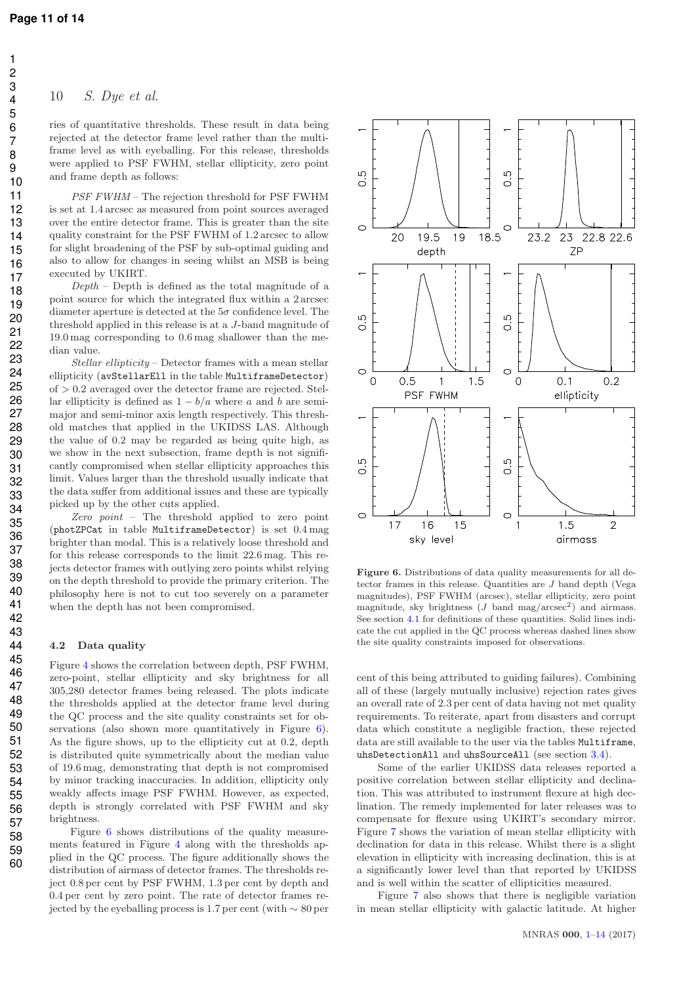#### 10 S. Dye et al.

ries of quantitative thresholds. These result in data being rejected at the detector frame level rather than the multiframe level as with eyeballing. For this release, thresholds were applied to PSF FWHM, stellar ellipticity, zero point and frame depth as follows:

PSF FWHM – The rejection threshold for PSF FWHM is set at 1.4 arcsec as measured from point sources averaged over the entire detector frame. This is greater than the site quality constraint for the PSF FWHM of 1.2 arcsec to allow for slight broadening of the PSF by sub-optimal guiding and also to allow for changes in seeing whilst an MSB is being executed by UKIRT.

 $Depth$  – Depth is defined as the total magnitude of a point source for which the integrated flux within a 2 arcsec diameter aperture is detected at the  $5\sigma$  confidence level. The threshold applied in this release is at a J-band magnitude of 19.0 mag corresponding to 0.6 mag shallower than the median value.

Stellar ellipticity – Detector frames with a mean stellar ellipticity (avStellarEll in the table MultiframeDetector)  $of > 0.2$  averaged over the detector frame are rejected. Stellar ellipticity is defined as  $1 - b/a$  where a and b are semimajor and semi-minor axis length respectively. This threshold matches that applied in the UKIDSS LAS. Although the value of 0.2 may be regarded as being quite high, as we show in the next subsection, frame depth is not significantly compromised when stellar ellipticity approaches this limit. Values larger than the threshold usually indicate that the data suffer from additional issues and these are typically picked up by the other cuts applied.

Zero point – The threshold applied to zero point (photZPCat in table MultiframeDetector) is set 0.4 mag brighter than modal. This is a relatively loose threshold and for this release corresponds to the limit 22.6 mag. This rejects detector frames with outlying zero points whilst relying on the depth threshold to provide the primary criterion. The philosophy here is not to cut too severely on a parameter when the depth has not been compromised.

#### 4.2 Data quality

Figure 4 shows the correlation between depth, PSF FWHM, zero-point, stellar ellipticity and sky brightness for all 305,280 detector frames being released. The plots indicate the thresholds applied at the detector frame level during the QC process and the site quality constraints set for observations (also shown more quantitatively in Figure 6). As the figure shows, up to the ellipticity cut at 0.2, depth is distributed quite symmetrically about the median value of 19.6 mag, demonstrating that depth is not compromised by minor tracking inaccuracies. In addition, ellipticity only weakly affects image PSF FWHM. However, as expected, depth is strongly correlated with PSF FWHM and sky brightness.

Figure 6 shows distributions of the quality measurements featured in Figure 4 along with the thresholds applied in the QC process. The figure additionally shows the distribution of airmass of detector frames. The thresholds reject 0.8 per cent by PSF FWHM, 1.3 per cent by depth and 0.4 per cent by zero point. The rate of detector frames rejected by the eyeballing process is 1.7 per cent (with  $\sim 80$  per



Figure 6. Distributions of data quality measurements for all detector frames in this release. Quantities are J band depth (Vega magnitudes), PSF FWHM (arcsec), stellar ellipticity, zero point magnitude, sky brightness  $(J \text{ band } mag/arcsec^2)$  and airmass. See section 4.1 for definitions of these quantities. Solid lines indicate the cut applied in the QC process whereas dashed lines show the site quality constraints imposed for observations.

cent of this being attributed to guiding failures). Combining all of these (largely mutually inclusive) rejection rates gives an overall rate of 2.3 per cent of data having not met quality requirements. To reiterate, apart from disasters and corrupt data which constitute a negligible fraction, these rejected data are still available to the user via the tables Multiframe, uhsDetectionAll and uhsSourceAll (see section 3.4).

Some of the earlier UKIDSS data releases reported a positive correlation between stellar ellipticity and declination. This was attributed to instrument flexure at high declination. The remedy implemented for later releases was to compensate for flexure using UKIRT's secondary mirror. Figure 7 shows the variation of mean stellar ellipticity with declination for data in this release. Whilst there is a slight elevation in ellipticity with increasing declination, this is at a significantly lower level than that reported by UKIDSS and is well within the scatter of ellipticities measured.

Figure 7 also shows that there is negligible variation in mean stellar ellipticity with galactic latitude. At higher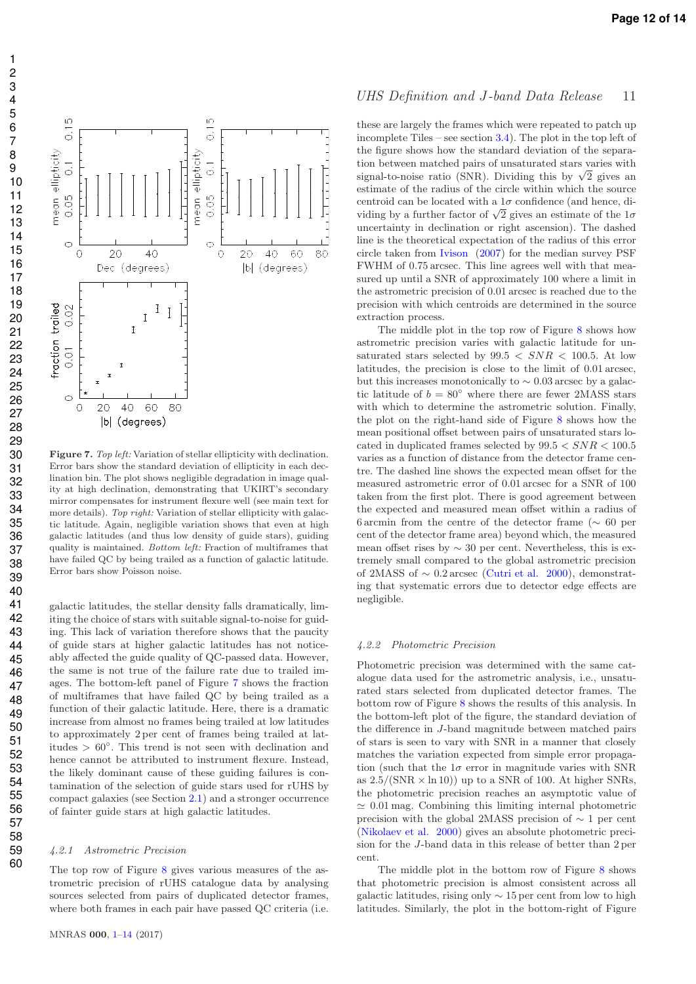

Figure 7. *Top left:* Variation of stellar ellipticity with declination. Error bars show the standard deviation of ellipticity in each declination bin. The plot shows negligible degradation in image quality at high declination, demonstrating that UKIRT's secondary mirror compensates for instrument flexure well (see main text for more details). *Top right:* Variation of stellar ellipticity with galactic latitude. Again, negligible variation shows that even at high galactic latitudes (and thus low density of guide stars), guiding quality is maintained. *Bottom left:* Fraction of multiframes that have failed QC by being trailed as a function of galactic latitude. Error bars show Poisson noise.

galactic latitudes, the stellar density falls dramatically, limiting the choice of stars with suitable signal-to-noise for guiding. This lack of variation therefore shows that the paucity of guide stars at higher galactic latitudes has not noticeably affected the guide quality of QC-passed data. However, the same is not true of the failure rate due to trailed images. The bottom-left panel of Figure 7 shows the fraction of multiframes that have failed QC by being trailed as a function of their galactic latitude. Here, there is a dramatic increase from almost no frames being trailed at low latitudes to approximately 2 per cent of frames being trailed at latitudes > 60◦ . This trend is not seen with declination and hence cannot be attributed to instrument flexure. Instead, the likely dominant cause of these guiding failures is contamination of the selection of guide stars used for rUHS by compact galaxies (see Section 2.1) and a stronger occurrence of fainter guide stars at high galactic latitudes.

#### 4.2.1 Astrometric Precision

The top row of Figure 8 gives various measures of the astrometric precision of rUHS catalogue data by analysing sources selected from pairs of duplicated detector frames, where both frames in each pair have passed QC criteria (i.e.

#### UHS Definition and J-band Data Release 11

these are largely the frames which were repeated to patch up incomplete Tiles – see section 3.4). The plot in the top left of the figure shows how the standard deviation of the separation between matched pairs of unsaturated stars varies with signal-to-noise ratio (SNR). Dividing this by  $\sqrt{2}$  gives an estimate of the radius of the circle within which the source centroid can be located with a  $1\sigma$  confidence (and hence, dividing by a further factor of  $\sqrt{2}$  gives an estimate of the  $1\sigma$ uncertainty in declination or right ascension). The dashed line is the theoretical expectation of the radius of this error circle taken from Ivison (2007) for the median survey PSF FWHM of 0.75 arcsec. This line agrees well with that measured up until a SNR of approximately 100 where a limit in the astrometric precision of 0.01 arcsec is reached due to the precision with which centroids are determined in the source extraction process.

The middle plot in the top row of Figure 8 shows how astrometric precision varies with galactic latitude for unsaturated stars selected by  $99.5 < SNR < 100.5$ . At low latitudes, the precision is close to the limit of 0.01 arcsec, but this increases monotonically to  $\sim 0.03$  arcsec by a galactic latitude of  $b = 80^\circ$  where there are fewer 2MASS stars with which to determine the astrometric solution. Finally, the plot on the right-hand side of Figure 8 shows how the mean positional offset between pairs of unsaturated stars located in duplicated frames selected by  $99.5 < SNR < 100.5$ varies as a function of distance from the detector frame centre. The dashed line shows the expected mean offset for the measured astrometric error of 0.01 arcsec for a SNR of 100 taken from the first plot. There is good agreement between the expected and measured mean offset within a radius of 6 arcmin from the centre of the detector frame (∼ 60 per cent of the detector frame area) beyond which, the measured mean offset rises by  $\sim$  30 per cent. Nevertheless, this is extremely small compared to the global astrometric precision of 2MASS of  $\sim 0.2$  arcsec (Cutri et al. 2000), demonstrating that systematic errors due to detector edge effects are negligible.

#### 4.2.2 Photometric Precision

Photometric precision was determined with the same catalogue data used for the astrometric analysis, i.e., unsaturated stars selected from duplicated detector frames. The bottom row of Figure 8 shows the results of this analysis. In the bottom-left plot of the figure, the standard deviation of the difference in J-band magnitude between matched pairs of stars is seen to vary with SNR in a manner that closely matches the variation expected from simple error propagation (such that the  $1\sigma$  error in magnitude varies with SNR as  $2.5/(SNR \times \ln 10)$  up to a SNR of 100. At higher SNRs, the photometric precision reaches an asymptotic value of  $\simeq 0.01$  mag. Combining this limiting internal photometric precision with the global 2MASS precision of ∼ 1 per cent (Nikolaev et al. 2000) gives an absolute photometric precision for the J-band data in this release of better than 2 per cent.

The middle plot in the bottom row of Figure 8 shows that photometric precision is almost consistent across all galactic latitudes, rising only  $\sim$  15 per cent from low to high latitudes. Similarly, the plot in the bottom-right of Figure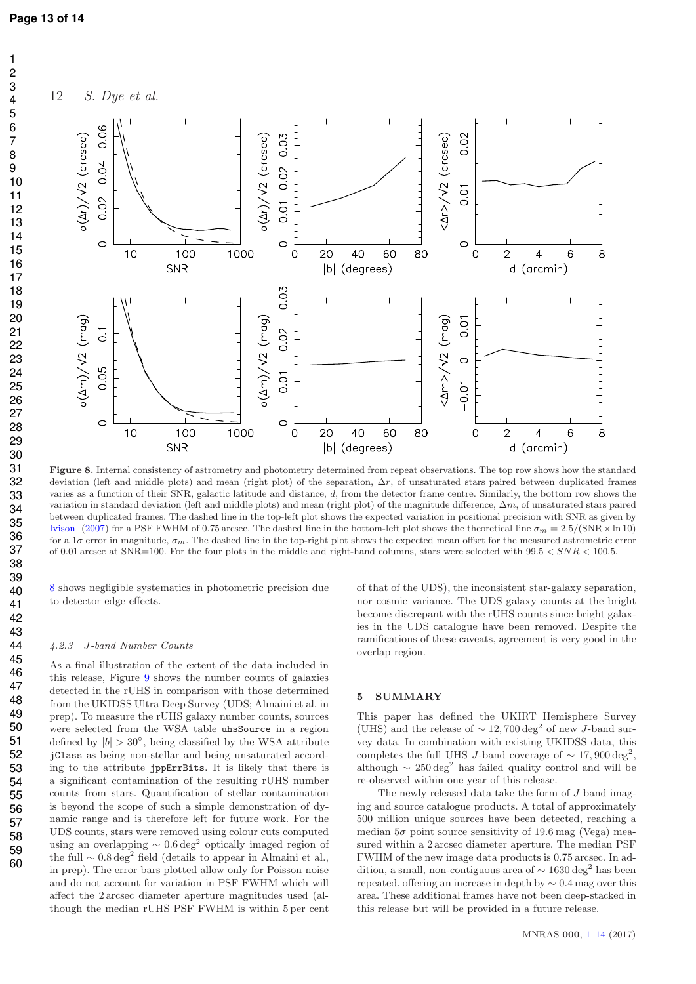

Figure 8. Internal consistency of astrometry and photometry determined from repeat observations. The top row shows how the standard deviation (left and middle plots) and mean (right plot) of the separation,  $\Delta r$ , of unsaturated stars paired between duplicated frames varies as a function of their SNR, galactic latitude and distance, d, from the detector frame centre. Similarly, the bottom row shows the variation in standard deviation (left and middle plots) and mean (right plot) of the magnitude difference,  $\Delta m$ , of unsaturated stars paired between duplicated frames. The dashed line in the top-left plot shows the expected variation in positional precision with SNR as given by Ivison (2007) for a PSF FWHM of 0.75 arcsec. The dashed line in the bottom-left plot shows the theoretical line  $\sigma_m = 2.5/(SNR \times \ln 10)$ for a 1 $\sigma$  error in magnitude,  $\sigma_m$ . The dashed line in the top-right plot shows the expected mean offset for the measured astrometric error of 0.01 arcsec at  $SNR=100$ . For the four plots in the middle and right-hand columns, stars were selected with  $99.5 < SNR < 100.5$ .

8 shows negligible systematics in photometric precision due to detector edge effects.

#### 4.2.3 J-band Number Counts

As a final illustration of the extent of the data included in this release, Figure 9 shows the number counts of galaxies detected in the rUHS in comparison with those determined from the UKIDSS Ultra Deep Survey (UDS; Almaini et al. in prep). To measure the rUHS galaxy number counts, sources were selected from the WSA table uhsSource in a region defined by  $|b| > 30^{\circ}$ , being classified by the WSA attribute jClass as being non-stellar and being unsaturated according to the attribute jppErrBits. It is likely that there is a significant contamination of the resulting rUHS number counts from stars. Quantification of stellar contamination is beyond the scope of such a simple demonstration of dynamic range and is therefore left for future work. For the UDS counts, stars were removed using colour cuts computed using an overlapping  $\sim 0.6 \text{ deg}^2$  optically imaged region of the full ∼ 0.8 deg<sup>2</sup> field (details to appear in Almaini et al., in prep). The error bars plotted allow only for Poisson noise and do not account for variation in PSF FWHM which will affect the 2 arcsec diameter aperture magnitudes used (although the median rUHS PSF FWHM is within 5 per cent of that of the UDS), the inconsistent star-galaxy separation, nor cosmic variance. The UDS galaxy counts at the bright become discrepant with the rUHS counts since bright galaxies in the UDS catalogue have been removed. Despite the ramifications of these caveats, agreement is very good in the overlap region.

#### 5 SUMMARY

This paper has defined the UKIRT Hemisphere Survey (UHS) and the release of  $\sim 12,700\,\mathrm{deg}^2$  of new J-band survey data. In combination with existing UKIDSS data, this completes the full UHS J-band coverage of  $\sim 17,900 \text{ deg}^2$ , although  $\sim$  250 deg<sup>2</sup> has failed quality control and will be re-observed within one year of this release.

The newly released data take the form of J band imaging and source catalogue products. A total of approximately 500 million unique sources have been detected, reaching a median  $5\sigma$  point source sensitivity of 19.6 mag (Vega) measured within a 2 arcsec diameter aperture. The median PSF FWHM of the new image data products is 0.75 arcsec. In addition, a small, non-contiguous area of  $\sim 1630\,\rm deg^2$  has been repeated, offering an increase in depth by ∼ 0.4 mag over this area. These additional frames have not been deep-stacked in this release but will be provided in a future release.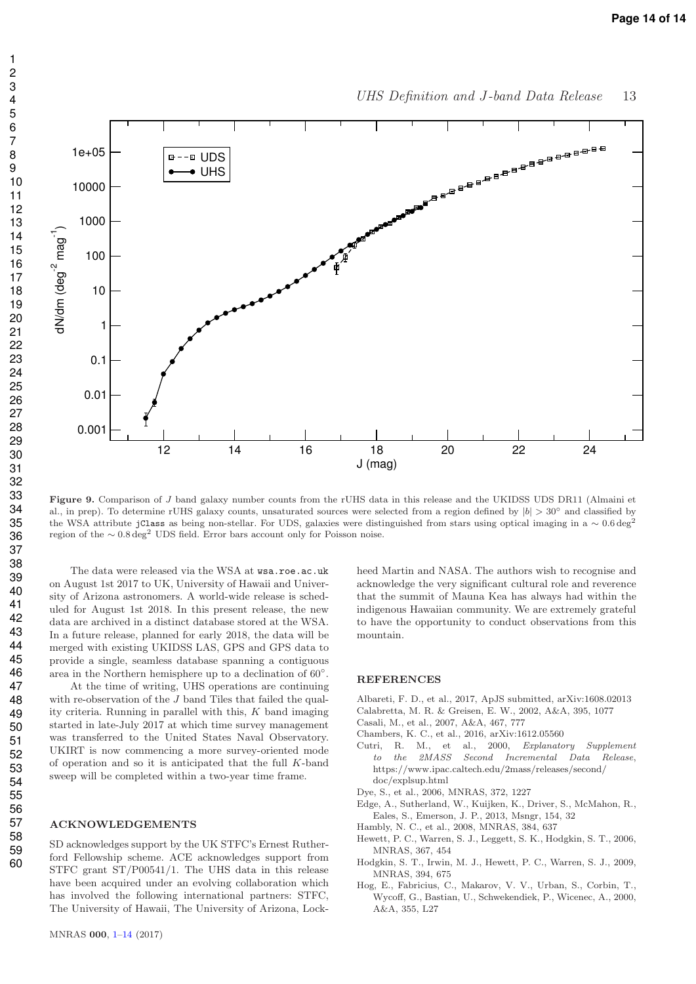

UHS Definition and J-band Data Release 13

Figure 9. Comparison of J band galaxy number counts from the rUHS data in this release and the UKIDSS UDS DR11 (Almaini et al., in prep). To determine rUHS galaxy counts, unsaturated sources were selected from a region defined by  $|b| > 30°$  and classified by the WSA attribute jClass as being non-stellar. For UDS, galaxies were distinguished from stars using optical imaging in a ∼ 0.6 deg<sup>2</sup> region of the  $\sim 0.8 \text{ deg}^2$  UDS field. Error bars account only for Poisson noise.

The data were released via the WSA at wsa.roe.ac.uk on August 1st 2017 to UK, University of Hawaii and University of Arizona astronomers. A world-wide release is scheduled for August 1st 2018. In this present release, the new data are archived in a distinct database stored at the WSA. In a future release, planned for early 2018, the data will be merged with existing UKIDSS LAS, GPS and GPS data to provide a single, seamless database spanning a contiguous area in the Northern hemisphere up to a declination of  $60°$ .

At the time of writing, UHS operations are continuing with re-observation of the J band Tiles that failed the quality criteria. Running in parallel with this,  $K$  band imaging started in late-July 2017 at which time survey management was transferred to the United States Naval Observatory. UKIRT is now commencing a more survey-oriented mode of operation and so it is anticipated that the full K-band sweep will be completed within a two-year time frame.

#### ACKNOWLEDGEMENTS

SD acknowledges support by the UK STFC's Ernest Rutherford Fellowship scheme. ACE acknowledges support from STFC grant ST/P00541/1. The UHS data in this release have been acquired under an evolving collaboration which has involved the following international partners: STFC, The University of Hawaii, The University of Arizona, Lockheed Martin and NASA. The authors wish to recognise and acknowledge the very significant cultural role and reverence that the summit of Mauna Kea has always had within the indigenous Hawaiian community. We are extremely grateful to have the opportunity to conduct observations from this mountain.

#### **REFERENCES**

- Albareti, F. D., et al., 2017, ApJS submitted, arXiv:1608.02013
- Calabretta, M. R. & Greisen, E. W., 2002, A&A, 395, 1077
- Casali, M., et al., 2007, A&A, 467, 777
- Chambers, K. C., et al., 2016, arXiv:1612.05560
- Cutri, R. M., et al., 2000, *Explanatory Supplement to the 2MASS Second Incremental Data Release*, https://www.ipac.caltech.edu/2mass/releases/second/ doc/explsup.html
- Dye, S., et al., 2006, MNRAS, 372, 1227
- Edge, A., Sutherland, W., Kuijken, K., Driver, S., McMahon, R., Eales, S., Emerson, J. P., 2013, Msngr, 154, 32
- Hambly, N. C., et al., 2008, MNRAS, 384, 637
- Hewett, P. C., Warren, S. J., Leggett, S. K., Hodgkin, S. T., 2006, MNRAS, 367, 454
- Hodgkin, S. T., Irwin, M. J., Hewett, P. C., Warren, S. J., 2009, MNRAS, 394, 675
- Hog, E., Fabricius, C., Makarov, V. V., Urban, S., Corbin, T., Wycoff, G., Bastian, U., Schwekendiek, P., Wicenec, A., 2000, A&A, 355, L27